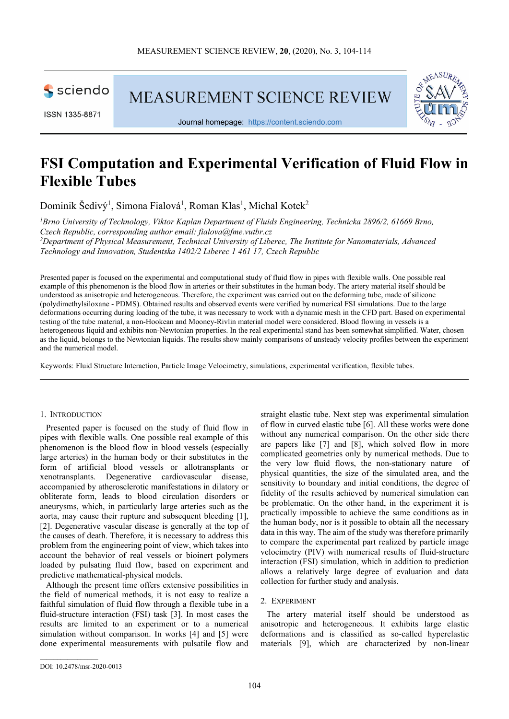

ISSN 1335-8871

**MEASUREMENT SCIENCE REVIEW** 



Journal homepage: https://content.sciendo.com

# **FSI Computation and Experimental Verification of Fluid Flow in Flexible Tubes**

Dominik Šedivý<sup>1</sup>, Simona Fialová<sup>1</sup>, Roman Klas<sup>1</sup>, Michal Kotek<sup>2</sup>

*<sup>1</sup>Brno University of Technology, Viktor Kaplan Department of Fluids Engineering, Technicka 2896/2, 61669 Brno, Czech Republic, corresponding author email: fialova@fme.vutbr.cz*

*<sup>2</sup>Department of Physical Measurement, Technical University of Liberec, The Institute for Nanomaterials, Advanced Technology and Innovation, Studentska 1402/2 Liberec 1 461 17, Czech Republic* 

Presented paper is focused on the experimental and computational study of fluid flow in pipes with flexible walls. One possible real example of this phenomenon is the blood flow in arteries or their substitutes in the human body. The artery material itself should be understood as anisotropic and heterogeneous. Therefore, the experiment was carried out on the deforming tube, made of silicone (polydimethylsiloxane - PDMS). Obtained results and observed events were verified by numerical FSI simulations. Due to the large deformations occurring during loading of the tube, it was necessary to work with a dynamic mesh in the CFD part. Based on experimental testing of the tube material, a non-Hookean and Mooney-Rivlin material model were considered. Blood flowing in vessels is a heterogeneous liquid and exhibits non-Newtonian properties. In the real experimental stand has been somewhat simplified. Water, chosen as the liquid, belongs to the Newtonian liquids. The results show mainly comparisons of unsteady velocity profiles between the experiment and the numerical model.

Keywords: Fluid Structure Interaction, Particle Image Velocimetry, simulations, experimental verification, flexible tubes.

#### 1. INTRODUCTION

Presented paper is focused on the study of fluid flow in pipes with flexible walls. One possible real example of this phenomenon is the blood flow in blood vessels (especially large arteries) in the human body or their substitutes in the form of artificial blood vessels or allotransplants or xenotransplants. Degenerative cardiovascular disease, accompanied by atherosclerotic manifestations in dilatory or obliterate form, leads to blood circulation disorders or aneurysms, which, in particularly large arteries such as the aorta, may cause their rupture and subsequent bleeding [1], [2]. Degenerative vascular disease is generally at the top of the causes of death. Therefore, it is necessary to address this problem from the engineering point of view, which takes into account the behavior of real vessels or bioinert polymers loaded by pulsating fluid flow, based on experiment and predictive mathematical-physical models.

Although the present time offers extensive possibilities in the field of numerical methods, it is not easy to realize a faithful simulation of fluid flow through a flexible tube in a fluid-structure interaction (FSI) task [3]. In most cases the results are limited to an experiment or to a numerical simulation without comparison. In works [4] and [5] were done experimental measurements with pulsatile flow and straight elastic tube. Next step was experimental simulation of flow in curved elastic tube [6]. All these works were done without any numerical comparison. On the other side there are papers like [7] and [8], which solved flow in more complicated geometries only by numerical methods. Due to the very low fluid flows, the non-stationary nature of physical quantities, the size of the simulated area, and the sensitivity to boundary and initial conditions, the degree of fidelity of the results achieved by numerical simulation can be problematic. On the other hand, in the experiment it is practically impossible to achieve the same conditions as in the human body, nor is it possible to obtain all the necessary data in this way. The aim of the study was therefore primarily to compare the experimental part realized by particle image velocimetry (PIV) with numerical results of fluid-structure interaction (FSI) simulation, which in addition to prediction allows a relatively large degree of evaluation and data collection for further study and analysis.

#### 2. EXPERIMENT

The artery material itself should be understood as anisotropic and heterogeneous. It exhibits large elastic deformations and is classified as so-called hyperelastic materials [9], which are characterized by non-linear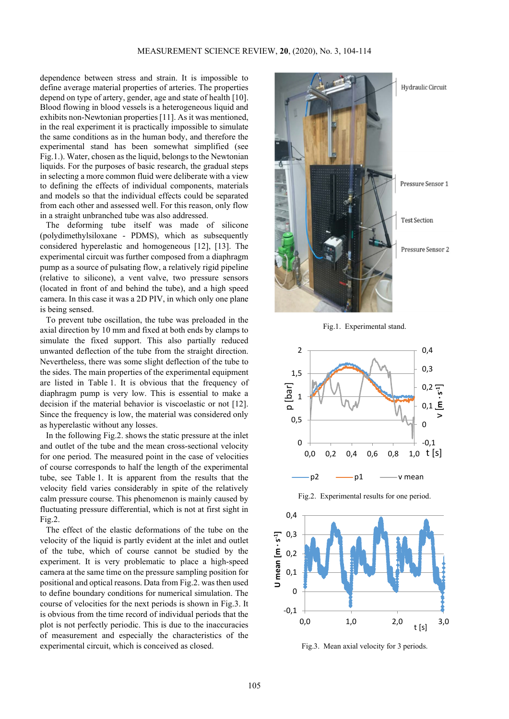dependence between stress and strain. It is impossible to define average material properties of arteries. The properties depend on type of artery, gender, age and state of health [10]. Blood flowing in blood vessels is a heterogeneous liquid and exhibits non-Newtonian properties [11]. As it was mentioned, in the real experiment it is practically impossible to simulate the same conditions as in the human body, and therefore the experimental stand has been somewhat simplified (see Fig.1.). Water, chosen as the liquid, belongs to the Newtonian liquids. For the purposes of basic research, the gradual steps in selecting a more common fluid were deliberate with a view to defining the effects of individual components, materials and models so that the individual effects could be separated from each other and assessed well. For this reason, only flow in a straight unbranched tube was also addressed.

The deforming tube itself was made of silicone (polydimethylsiloxane - PDMS), which as subsequently considered hyperelastic and homogeneous [12], [13]. The experimental circuit was further composed from a diaphragm pump as a source of pulsating flow, a relatively rigid pipeline (relative to silicone), a vent valve, two pressure sensors (located in front of and behind the tube), and a high speed camera. In this case it was a 2D PIV, in which only one plane is being sensed.

To prevent tube oscillation, the tube was preloaded in the axial direction by 10 mm and fixed at both ends by clamps to simulate the fixed support. This also partially reduced unwanted deflection of the tube from the straight direction. Nevertheless, there was some slight deflection of the tube to the sides. The main properties of the experimental equipment are listed in Table 1. It is obvious that the frequency of diaphragm pump is very low. This is essential to make a decision if the material behavior is viscoelastic or not [12]. Since the frequency is low, the material was considered only as hyperelastic without any losses.

In the following Fig.2. shows the static pressure at the inlet and outlet of the tube and the mean cross-sectional velocity for one period. The measured point in the case of velocities of course corresponds to half the length of the experimental tube, see Table 1. It is apparent from the results that the velocity field varies considerably in spite of the relatively calm pressure course. This phenomenon is mainly caused by fluctuating pressure differential, which is not at first sight in Fig.2.

The effect of the elastic deformations of the tube on the velocity of the liquid is partly evident at the inlet and outlet of the tube, which of course cannot be studied by the experiment. It is very problematic to place a high-speed camera at the same time on the pressure sampling position for positional and optical reasons. Data from Fig.2. was then used to define boundary conditions for numerical simulation. The course of velocities for the next periods is shown in Fig.3. It is obvious from the time record of individual periods that the plot is not perfectly periodic. This is due to the inaccuracies of measurement and especially the characteristics of the experimental circuit, which is conceived as closed.



Fig.1. Experimental stand.



Fig.2. Experimental results for one period.



Fig.3. Mean axial velocity for 3 periods.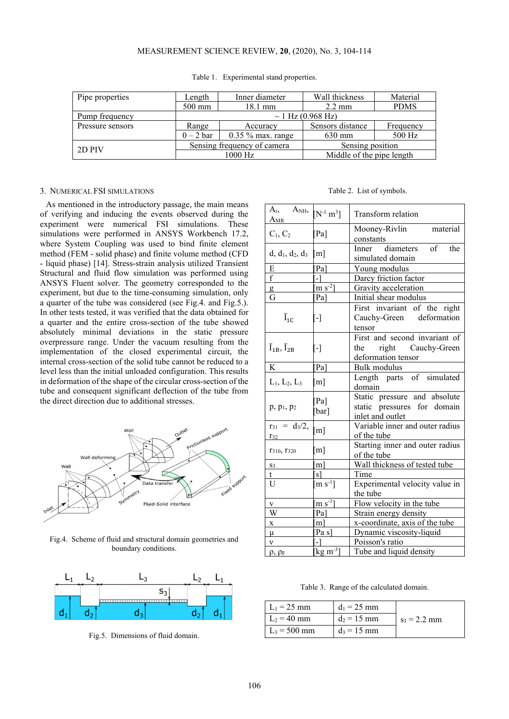# MEASUREMENT SCIENCE REVIEW, **20**, (2020), No. 3, 104-114

| Pipe properties  | Length                      | Inner diameter                       | Wall thickness   | Material    |  |
|------------------|-----------------------------|--------------------------------------|------------------|-------------|--|
|                  | 500 mm                      | $18.1 \text{ mm}$                    | $2.2 \text{ mm}$ | <b>PDMS</b> |  |
| Pump frequency   | $\sim$ 1 Hz (0.968 Hz)      |                                      |                  |             |  |
| Pressure sensors | Range                       | Accuracy                             | Sensors distance | Frequency   |  |
|                  | $0-2$ bar                   | $0.35\%$ max. range                  | $630 \text{ mm}$ | 500 Hz      |  |
| 2D PIV           | Sensing frequency of camera |                                      | Sensing position |             |  |
|                  |                             | Middle of the pipe length<br>1000 Hz |                  |             |  |

Table 1. Experimental stand properties.

#### 3. NUMERICAL FSI SIMULATIONS

As mentioned in the introductory passage, the main means of verifying and inducing the events observed during the experiment were numerical FSI simulations. These simulations were performed in ANSYS Workbench 17.2, where System Coupling was used to bind finite element method (FEM - solid phase) and finite volume method (CFD - liquid phase) [14]. Stress-strain analysis utilized Transient Structural and fluid flow simulation was performed using ANSYS Fluent solver. The geometry corresponded to the experiment, but due to the time-consuming simulation, only a quarter of the tube was considered (see Fig.4. and Fig.5.). In other tests tested, it was verified that the data obtained for a quarter and the entire cross-section of the tube showed absolutely minimal deviations in the static pressure overpressure range. Under the vacuum resulting from the implementation of the closed experimental circuit, the internal cross-section of the solid tube cannot be reduced to a level less than the initial unloaded configuration. This results in deformation of the shape of the circular cross-section of the tube and consequent significant deflection of the tube from the direct direction due to additional stresses.



Fig.4. Scheme of fluid and structural domain geometries and boundary conditions.



Fig.5. Dimensions of fluid domain.

Table 2. List of symbols.

| $A_{r}$ , $A_{NH}$ ,<br>$A_{MR}$          | $[N^{-1} m^3]$              | Transform relation                                                              |  |  |
|-------------------------------------------|-----------------------------|---------------------------------------------------------------------------------|--|--|
| $C_1, C_2$                                | $Pa$ ]                      | material<br>Mooney-Rivlin<br>constants                                          |  |  |
| $d, d_1, d_2, d_3$                        | $\lceil m \rceil$           | Inner diameters<br>$\alpha$ f<br>the<br>simulated domain                        |  |  |
| E                                         | Pa]                         | Young modulus                                                                   |  |  |
| $\mathbf f$                               | -1                          | Darcy friction factor                                                           |  |  |
| g                                         | $\left[\text{m s}^2\right]$ | Gravity acceleration                                                            |  |  |
| G                                         | Pa]                         | Initial shear modulus                                                           |  |  |
| $\overline{I}_{1C}$                       | $\lbrack \cdot \rbrack$     | First invariant of the right<br>Cauchy-Green deformation<br>tensor              |  |  |
| $\overline{I}_{1B}$ , $\overline{I}_{2B}$ | $[\cdot]$                   | First and second invariant of<br>the right Cauchy-Green<br>deformation tensor   |  |  |
| K                                         | Pa]                         | Bulk modulus                                                                    |  |  |
| $L_1, L_2, L_3$                           | $\lceil m \rceil$           | Length parts of simulated<br>domain                                             |  |  |
| $p, p_1, p_2$                             | $Pa$ ]<br>[bar]             | Static pressure and absolute<br>static pressures for domain<br>inlet and outlet |  |  |
| $= d_3/2,$<br>$r_{31}$<br>$r_{32}$        | [m]                         | Variable inner and outer radius<br>of the tube                                  |  |  |
| T310, T320                                | $m$ ]                       | Starting inner and outer radius<br>of the tube                                  |  |  |
| $S_3$                                     | m                           | Wall thickness of tested tube                                                   |  |  |
| t                                         | s1                          | Time                                                                            |  |  |
| U                                         | $\text{m s}^{-1}$ ]         | Experimental velocity value in<br>the tube                                      |  |  |
| V                                         | $\text{m s}^{-1}$ ]         | Flow velocity in the tube                                                       |  |  |
| W                                         | $Pa$ ]                      | Strain energy density                                                           |  |  |
| $\mathbf X$                               | [m]                         | x-coordinate, axis of the tube                                                  |  |  |
| μ                                         | [Pa s]                      | Dynamic viscosity-liquid                                                        |  |  |
| ν                                         |                             | Poisson's ratio                                                                 |  |  |
| $\rho$ , $\rho_F$                         | $\text{kg m}^3$             | Tube and liquid density                                                         |  |  |

Table 3. Range of the calculated domain.

| $L_1 = 25$ mm  | $d_1 = 25$ mm |                |
|----------------|---------------|----------------|
| $L_2 = 40$ mm  | $d_2 = 15$ mm | $s_3 = 2.2$ mm |
| $L_3$ = 500 mm | $d_3 = 15$ mm |                |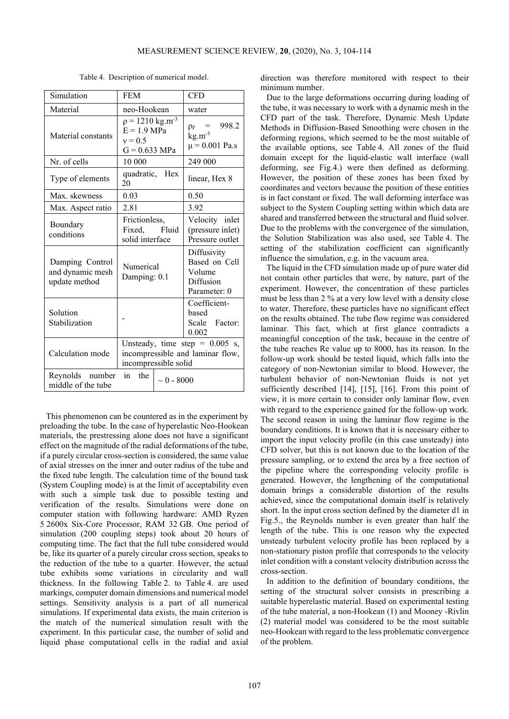| Simulation                                           | <b>FEM</b>                                                                                   |                 | <b>CFD</b>                                                          |
|------------------------------------------------------|----------------------------------------------------------------------------------------------|-----------------|---------------------------------------------------------------------|
| Material                                             | neo-Hookean                                                                                  |                 | water                                                               |
| Material constants                                   | $p = 1210$ kg.m <sup>-3</sup><br>$E = 1.9$ MPa<br>$v = 0.5$<br>$G = 0.633$ MPa               |                 | $= 998.2$<br>$\rho_F$<br>$kg.m^{-3}$<br>$\mu$ = 0.001 Pa.s          |
| Nr. of cells                                         | 10 000                                                                                       |                 | 249 000                                                             |
| Type of elements                                     | quadratic, Hex<br>20                                                                         |                 | linear, Hex 8                                                       |
| Max. skewness                                        | 0.03                                                                                         |                 | 0.50                                                                |
| Max. Aspect ratio                                    | 2.81                                                                                         |                 | 3.92                                                                |
| Boundary<br>conditions                               | Frictionless,<br>Fixed, Fluid<br>solid interface                                             |                 | Velocity inlet<br>(pressure inlet)<br>Pressure outlet               |
| Damping Control<br>and dynamic mesh<br>update method | Numerical<br>Damping: 0.1                                                                    |                 | Diffusivity<br>Based on Cell<br>Volume<br>Diffusion<br>Parameter: 0 |
| Solution<br>Stabilization                            |                                                                                              |                 | Coefficient-<br>based<br>Scale Factor:<br>0.002                     |
| Calculation mode                                     | Unsteady, time step = $0.005$ s,<br>incompressible and laminar flow,<br>incompressible solid |                 |                                                                     |
| Reynolds number<br>middle of the tube                | in<br>the                                                                                    | $\sim 0 - 8000$ |                                                                     |

Table 4. Description of numerical model.

This phenomenon can be countered as in the experiment by preloading the tube. In the case of hyperelastic Neo-Hookean materials, the prestressing alone does not have a significant effect on the magnitude of the radial deformations of the tube, if a purely circular cross-section is considered, the same value of axial stresses on the inner and outer radius of the tube and the fixed tube length. The calculation time of the bound task (System Coupling mode) is at the limit of acceptability even with such a simple task due to possible testing and verification of the results. Simulations were done on computer station with following hardware: AMD Ryzen 5 2600x Six-Core Processor, RAM 32 GB. One period of simulation (200 coupling steps) took about 20 hours of computing time. The fact that the full tube considered would be, like its quarter of a purely circular cross section, speaks to the reduction of the tube to a quarter. However, the actual tube exhibits some variations in circularity and wall thickness. In the following Table 2. to Table 4. are used markings, computer domain dimensions and numerical model settings. Sensitivity analysis is a part of all numerical simulations. If experimental data exists, the main criterion is the match of the numerical simulation result with the experiment. In this particular case, the number of solid and liquid phase computational cells in the radial and axial

direction was therefore monitored with respect to their minimum number.

Due to the large deformations occurring during loading of the tube, it was necessary to work with a dynamic mesh in the CFD part of the task. Therefore, Dynamic Mesh Update Methods in Diffusion-Based Smoothing were chosen in the deforming regions, which seemed to be the most suitable of the available options, see Table 4. All zones of the fluid domain except for the liquid-elastic wall interface (wall deforming, see Fig.4.) were then defined as deforming. However, the position of these zones has been fixed by coordinates and vectors because the position of these entities is in fact constant or fixed. The wall deforming interface was subject to the System Coupling setting within which data are shared and transferred between the structural and fluid solver. Due to the problems with the convergence of the simulation, the Solution Stabilization was also used, see Table 4. The setting of the stabilization coefficient can significantly influence the simulation, e.g. in the vacuum area.

The liquid in the CFD simulation made up of pure water did not contain other particles that were, by nature, part of the experiment. However, the concentration of these particles must be less than 2 % at a very low level with a density close to water. Therefore, these particles have no significant effect on the results obtained. The tube flow regime was considered laminar. This fact, which at first glance contradicts a meaningful conception of the task, because in the centre of the tube reaches Re value up to 8000, has its reason. In the follow-up work should be tested liquid, which falls into the category of non-Newtonian similar to blood. However, the turbulent behavior of non-Newtonian fluids is not yet sufficiently described [14], [15], [16]. From this point of view, it is more certain to consider only laminar flow, even with regard to the experience gained for the follow-up work. The second reason in using the laminar flow regime is the boundary conditions. It is known that it is necessary either to import the input velocity profile (in this case unsteady) into CFD solver, but this is not known due to the location of the pressure sampling, or to extend the area by a free section of the pipeline where the corresponding velocity profile is generated. However, the lengthening of the computational domain brings a considerable distortion of the results achieved, since the computational domain itself is relatively short. In the input cross section defined by the diameter d1 in Fig.5., the Reynolds number is even greater than half the length of the tube. This is one reason why the expected unsteady turbulent velocity profile has been replaced by a non-stationary piston profile that corresponds to the velocity inlet condition with a constant velocity distribution across the cross-section.

In addition to the definition of boundary conditions, the setting of the structural solver consists in prescribing a suitable hyperelastic material. Based on experimental testing of the tube material, a non-Hookean (1) and Mooney -Rivlin (2) material model was considered to be the most suitable neo-Hookean with regard to the less problematic convergence of the problem.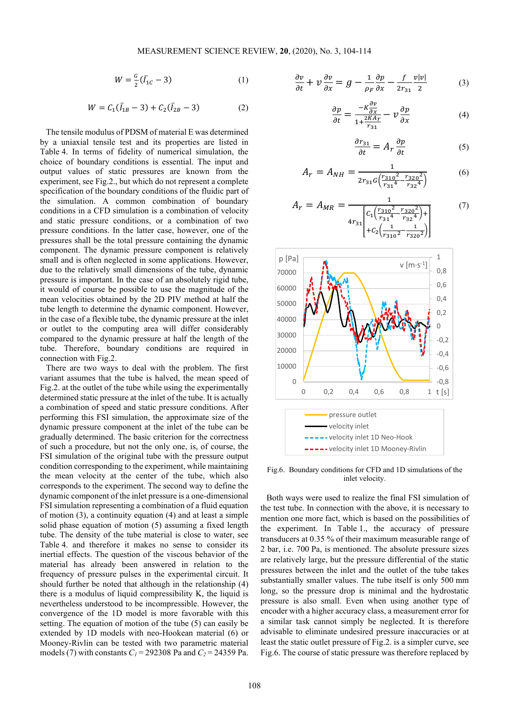$$
W = \frac{G}{2}(\bar{I}_{1C} - 3)
$$
 (1)

$$
W = C_1(\bar{I}_{1B} - 3) + C_2(\bar{I}_{2B} - 3) \tag{2}
$$

The tensile modulus of PDSM of material E was determined by a uniaxial tensile test and its properties are listed in Table 4. In terms of fidelity of numerical simulation, the choice of boundary conditions is essential. The input and output values of static pressures are known from the experiment, see Fig.2., but which do not represent a complete specification of the boundary conditions of the fluidic part of the simulation. A common combination of boundary conditions in a CFD simulation is a combination of velocity and static pressure conditions, or a combination of two pressure conditions. In the latter case, however, one of the pressures shall be the total pressure containing the dynamic component. The dynamic pressure component is relatively small and is often neglected in some applications. However, due to the relatively small dimensions of the tube, dynamic pressure is important. In the case of an absolutely rigid tube, it would of course be possible to use the magnitude of the mean velocities obtained by the 2D PIV method at half the tube length to determine the dynamic component. However, in the case of a flexible tube, the dynamic pressure at the inlet or outlet to the computing area will differ considerably compared to the dynamic pressure at half the length of the tube. Therefore, boundary conditions are required in connection with Fig.2.

There are two ways to deal with the problem. The first variant assumes that the tube is halved, the mean speed of Fig.2. at the outlet of the tube while using the experimentally determined static pressure at the inlet of the tube. It is actually a combination of speed and static pressure conditions. After performing this FSI simulation, the approximate size of the dynamic pressure component at the inlet of the tube can be gradually determined. The basic criterion for the correctness of such a procedure, but not the only one, is, of course, the FSI simulation of the original tube with the pressure output condition corresponding to the experiment, while maintaining the mean velocity at the center of the tube, which also corresponds to the experiment. The second way to define the dynamic component of the inlet pressure is a one-dimensional FSI simulation representing a combination of a fluid equation of motion (3), a continuity equation (4) and at least a simple solid phase equation of motion (5) assuming a fixed length tube. The density of the tube material is close to water, see Table 4. and therefore it makes no sense to consider its inertial effects. The question of the viscous behavior of the material has already been answered in relation to the frequency of pressure pulses in the experimental circuit. It should further be noted that although in the relationship (4) there is a modulus of liquid compressibility K, the liquid is nevertheless understood to be incompressible. However, the convergence of the 1D model is more favorable with this setting. The equation of motion of the tube (5) can easily be extended by 1D models with neo-Hookean material (6) or Mooney-Rivlin can be tested with two parametric material models (7) with constants  $C_1$  = 292308 Pa and  $C_2$  = 24359 Pa.

$$
\frac{\partial v}{\partial t} + v \frac{\partial v}{\partial x} = g - \frac{1}{\rho_F} \frac{\partial p}{\partial x} - \frac{f}{2r_{31}} \frac{v|v|}{2}
$$
(3)

$$
\frac{\partial p}{\partial t} = \frac{-K \frac{\partial v}{\partial x}}{1 + \frac{2K A_T}{r_{31}}} - v \frac{\partial p}{\partial x}
$$
(4)

$$
\frac{\partial r_{31}}{\partial t} = A_r \frac{\partial p}{\partial t} \tag{5}
$$

$$
A_r = A_{NH} = \frac{1}{2r_{31}c\left(\frac{r_{310}^2}{r_{31}^4} - \frac{r_{320}^2}{r_{32}^4}\right)}\tag{6}
$$

$$
A_r = A_{MR} = \frac{1}{4r_{31}\left[c_1\left(\frac{r_{310}^2}{r_{31}^4} - \frac{r_{320}^2}{r_{32}^4}\right) + \left[c_2\left(\frac{1}{r_{310}^2} - \frac{1}{r_{320}^2}\right)\right]} \tag{7}
$$



Fig.6. Boundary conditions for CFD and 1D simulations of the inlet velocity.

Both ways were used to realize the final FSI simulation of the test tube. In connection with the above, it is necessary to mention one more fact, which is based on the possibilities of the experiment. In Table 1., the accuracy of pressure transducers at 0.35 % of their maximum measurable range of 2 bar, i.e. 700 Pa, is mentioned. The absolute pressure sizes are relatively large, but the pressure differential of the static pressures between the inlet and the outlet of the tube takes substantially smaller values. The tube itself is only 500 mm long, so the pressure drop is minimal and the hydrostatic pressure is also small. Even when using another type of encoder with a higher accuracy class, a measurement error for a similar task cannot simply be neglected. It is therefore advisable to eliminate undesired pressure inaccuracies or at least the static outlet pressure of Fig.2. is a simpler curve, see Fig.6. The course of static pressure was therefore replaced by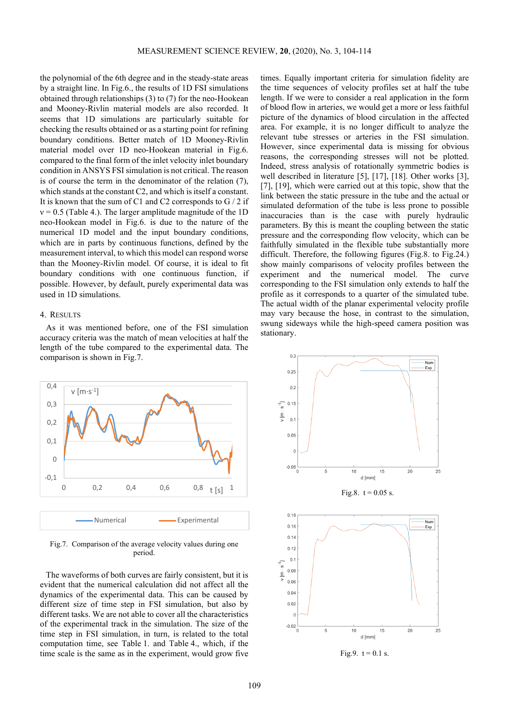the polynomial of the 6th degree and in the steady-state areas by a straight line. In Fig.6., the results of 1D FSI simulations obtained through relationships (3) to (7) for the neo-Hookean and Mooney-Rivlin material models are also recorded. It seems that 1D simulations are particularly suitable for checking the results obtained or as a starting point for refining boundary conditions. Better match of 1D Mooney-Rivlin material model over 1D neo-Hookean material in Fig.6. compared to the final form of the inlet velocity inlet boundary condition in ANSYS FSI simulation is not critical. The reason is of course the term in the denominator of the relation (7), which stands at the constant C2, and which is itself a constant. It is known that the sum of C1 and C2 corresponds to  $G/2$  if  $v = 0.5$  (Table 4.). The larger amplitude magnitude of the 1D neo-Hookean model in Fig.6. is due to the nature of the numerical 1D model and the input boundary conditions, which are in parts by continuous functions, defined by the measurement interval, to which this model can respond worse than the Mooney-Rivlin model. Of course, it is ideal to fit boundary conditions with one continuous function, if possible. However, by default, purely experimental data was used in 1D simulations.

## 4. RESULTS

As it was mentioned before, one of the FSI simulation accuracy criteria was the match of mean velocities at half the length of the tube compared to the experimental data. The comparison is shown in Fig.7.



Fig.7. Comparison of the average velocity values during one period.

The waveforms of both curves are fairly consistent, but it is evident that the numerical calculation did not affect all the dynamics of the experimental data. This can be caused by different size of time step in FSI simulation, but also by different tasks. We are not able to cover all the characteristics of the experimental track in the simulation. The size of the time step in FSI simulation, in turn, is related to the total computation time, see Table 1. and Table 4., which, if the time scale is the same as in the experiment, would grow five times. Equally important criteria for simulation fidelity are the time sequences of velocity profiles set at half the tube length. If we were to consider a real application in the form of blood flow in arteries, we would get a more or less faithful picture of the dynamics of blood circulation in the affected area. For example, it is no longer difficult to analyze the relevant tube stresses or arteries in the FSI simulation. However, since experimental data is missing for obvious reasons, the corresponding stresses will not be plotted. Indeed, stress analysis of rotationally symmetric bodies is well described in literature [5], [17], [18]. Other works [3], [7], [19], which were carried out at this topic, show that the link between the static pressure in the tube and the actual or simulated deformation of the tube is less prone to possible inaccuracies than is the case with purely hydraulic parameters. By this is meant the coupling between the static pressure and the corresponding flow velocity, which can be faithfully simulated in the flexible tube substantially more difficult. Therefore, the following figures (Fig.8. to Fig.24.) show mainly comparisons of velocity profiles between the experiment and the numerical model. The curve corresponding to the FSI simulation only extends to half the profile as it corresponds to a quarter of the simulated tube. The actual width of the planar experimental velocity profile may vary because the hose, in contrast to the simulation, swung sideways while the high-speed camera position was stationary.

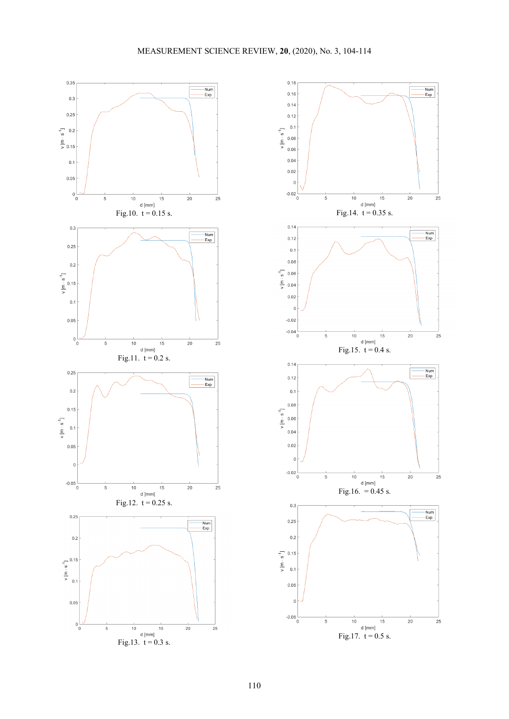

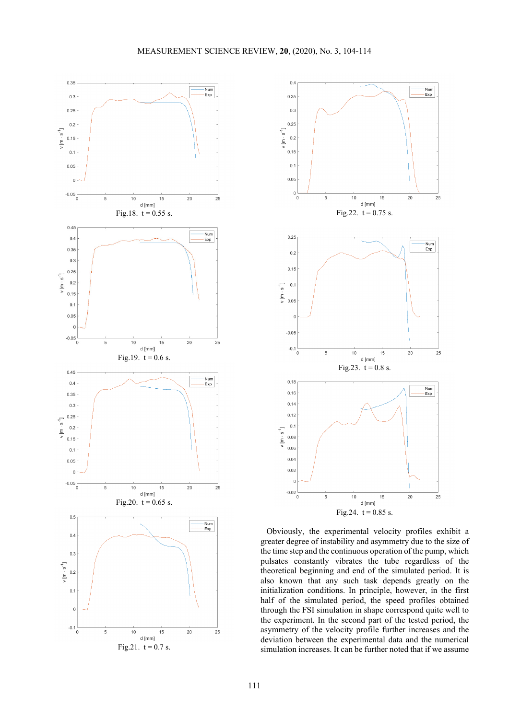



Obviously, the experimental velocity profiles exhibit a greater degree of instability and asymmetry due to the size of the time step and the continuous operation of the pump, which pulsates constantly vibrates the tube regardless of the theoretical beginning and end of the simulated period. It is also known that any such task depends greatly on the initialization conditions. In principle, however, in the first half of the simulated period, the speed profiles obtained through the FSI simulation in shape correspond quite well to the experiment. In the second part of the tested period, the asymmetry of the velocity profile further increases and the deviation between the experimental data and the numerical simulation increases. It can be further noted that if we assume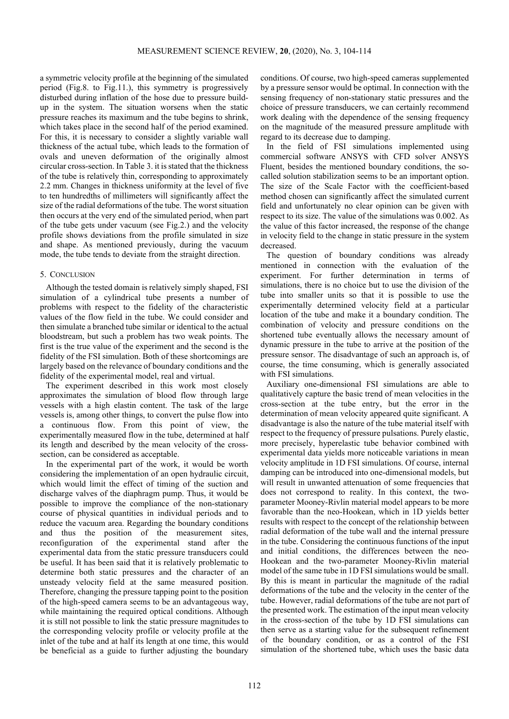a symmetric velocity profile at the beginning of the simulated period (Fig.8. to Fig.11.), this symmetry is progressively disturbed during inflation of the hose due to pressure buildup in the system. The situation worsens when the static pressure reaches its maximum and the tube begins to shrink, which takes place in the second half of the period examined. For this, it is necessary to consider a slightly variable wall thickness of the actual tube, which leads to the formation of ovals and uneven deformation of the originally almost circular cross-section. In Table 3. it is stated that the thickness of the tube is relatively thin, corresponding to approximately 2.2 mm. Changes in thickness uniformity at the level of five to ten hundredths of millimeters will significantly affect the size of the radial deformations of the tube. The worst situation then occurs at the very end of the simulated period, when part of the tube gets under vacuum (see Fig.2.) and the velocity profile shows deviations from the profile simulated in size and shape. As mentioned previously, during the vacuum mode, the tube tends to deviate from the straight direction.

## 5. CONCLUSION

Although the tested domain is relatively simply shaped, FSI simulation of a cylindrical tube presents a number of problems with respect to the fidelity of the characteristic values of the flow field in the tube. We could consider and then simulate a branched tube similar or identical to the actual bloodstream, but such a problem has two weak points. The first is the true value of the experiment and the second is the fidelity of the FSI simulation. Both of these shortcomings are largely based on the relevance of boundary conditions and the fidelity of the experimental model, real and virtual.

The experiment described in this work most closely approximates the simulation of blood flow through large vessels with a high elastin content. The task of the large vessels is, among other things, to convert the pulse flow into a continuous flow. From this point of view, the experimentally measured flow in the tube, determined at half its length and described by the mean velocity of the crosssection, can be considered as acceptable.

In the experimental part of the work, it would be worth considering the implementation of an open hydraulic circuit, which would limit the effect of timing of the suction and discharge valves of the diaphragm pump. Thus, it would be possible to improve the compliance of the non-stationary course of physical quantities in individual periods and to reduce the vacuum area. Regarding the boundary conditions and thus the position of the measurement sites, reconfiguration of the experimental stand after the experimental data from the static pressure transducers could be useful. It has been said that it is relatively problematic to determine both static pressures and the character of an unsteady velocity field at the same measured position. Therefore, changing the pressure tapping point to the position of the high-speed camera seems to be an advantageous way, while maintaining the required optical conditions. Although it is still not possible to link the static pressure magnitudes to the corresponding velocity profile or velocity profile at the inlet of the tube and at half its length at one time, this would be beneficial as a guide to further adjusting the boundary conditions. Of course, two high-speed cameras supplemented by a pressure sensor would be optimal. In connection with the sensing frequency of non-stationary static pressures and the choice of pressure transducers, we can certainly recommend work dealing with the dependence of the sensing frequency on the magnitude of the measured pressure amplitude with regard to its decrease due to damping.

In the field of FSI simulations implemented using commercial software ANSYS with CFD solver ANSYS Fluent, besides the mentioned boundary conditions, the socalled solution stabilization seems to be an important option. The size of the Scale Factor with the coefficient-based method chosen can significantly affect the simulated current field and unfortunately no clear opinion can be given with respect to its size. The value of the simulations was 0.002. As the value of this factor increased, the response of the change in velocity field to the change in static pressure in the system decreased.

The question of boundary conditions was already mentioned in connection with the evaluation of the experiment. For further determination in terms of simulations, there is no choice but to use the division of the tube into smaller units so that it is possible to use the experimentally determined velocity field at a particular location of the tube and make it a boundary condition. The combination of velocity and pressure conditions on the shortened tube eventually allows the necessary amount of dynamic pressure in the tube to arrive at the position of the pressure sensor. The disadvantage of such an approach is, of course, the time consuming, which is generally associated with FSI simulations.

Auxiliary one-dimensional FSI simulations are able to qualitatively capture the basic trend of mean velocities in the cross-section at the tube entry, but the error in the determination of mean velocity appeared quite significant. A disadvantage is also the nature of the tube material itself with respect to the frequency of pressure pulsations. Purely elastic, more precisely, hyperelastic tube behavior combined with experimental data yields more noticeable variations in mean velocity amplitude in 1D FSI simulations. Of course, internal damping can be introduced into one-dimensional models, but will result in unwanted attenuation of some frequencies that does not correspond to reality. In this context, the twoparameter Mooney-Rivlin material model appears to be more favorable than the neo-Hookean, which in 1D yields better results with respect to the concept of the relationship between radial deformation of the tube wall and the internal pressure in the tube. Considering the continuous functions of the input and initial conditions, the differences between the neo-Hookean and the two-parameter Mooney-Rivlin material model of the same tube in 1D FSI simulations would be small. By this is meant in particular the magnitude of the radial deformations of the tube and the velocity in the center of the tube. However, radial deformations of the tube are not part of the presented work. The estimation of the input mean velocity in the cross-section of the tube by 1D FSI simulations can then serve as a starting value for the subsequent refinement of the boundary condition, or as a control of the FSI simulation of the shortened tube, which uses the basic data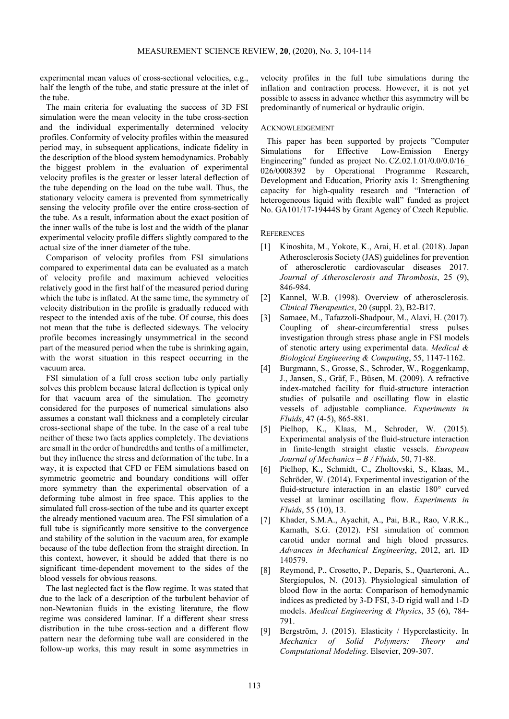experimental mean values of cross-sectional velocities, e.g., half the length of the tube, and static pressure at the inlet of the tube.

The main criteria for evaluating the success of 3D FSI simulation were the mean velocity in the tube cross-section and the individual experimentally determined velocity profiles. Conformity of velocity profiles within the measured period may, in subsequent applications, indicate fidelity in the description of the blood system hemodynamics. Probably the biggest problem in the evaluation of experimental velocity profiles is the greater or lesser lateral deflection of the tube depending on the load on the tube wall. Thus, the stationary velocity camera is prevented from symmetrically sensing the velocity profile over the entire cross-section of the tube. As a result, information about the exact position of the inner walls of the tube is lost and the width of the planar experimental velocity profile differs slightly compared to the actual size of the inner diameter of the tube.

Comparison of velocity profiles from FSI simulations compared to experimental data can be evaluated as a match of velocity profile and maximum achieved velocities relatively good in the first half of the measured period during which the tube is inflated. At the same time, the symmetry of velocity distribution in the profile is gradually reduced with respect to the intended axis of the tube. Of course, this does not mean that the tube is deflected sideways. The velocity profile becomes increasingly unsymmetrical in the second part of the measured period when the tube is shrinking again, with the worst situation in this respect occurring in the vacuum area.

FSI simulation of a full cross section tube only partially solves this problem because lateral deflection is typical only for that vacuum area of the simulation. The geometry considered for the purposes of numerical simulations also assumes a constant wall thickness and a completely circular cross-sectional shape of the tube. In the case of a real tube neither of these two facts applies completely. The deviations are small in the order of hundredths and tenths of a millimeter, but they influence the stress and deformation of the tube. In a way, it is expected that CFD or FEM simulations based on symmetric geometric and boundary conditions will offer more symmetry than the experimental observation of a deforming tube almost in free space. This applies to the simulated full cross-section of the tube and its quarter except the already mentioned vacuum area. The FSI simulation of a full tube is significantly more sensitive to the convergence and stability of the solution in the vacuum area, for example because of the tube deflection from the straight direction. In this context, however, it should be added that there is no significant time-dependent movement to the sides of the blood vessels for obvious reasons.

The last neglected fact is the flow regime. It was stated that due to the lack of a description of the turbulent behavior of non-Newtonian fluids in the existing literature, the flow regime was considered laminar. If a different shear stress distribution in the tube cross-section and a different flow pattern near the deforming tube wall are considered in the follow-up works, this may result in some asymmetries in

velocity profiles in the full tube simulations during the inflation and contraction process. However, it is not yet possible to assess in advance whether this asymmetry will be predominantly of numerical or hydraulic origin.

## ACKNOWLEDGEMENT

This paper has been supported by projects "Computer Simulations for Effective Low-Emission Energy Engineering" funded as project No. CZ.02.1.01/0.0/0.0/16\_ 026/0008392 by Operational Programme Research, Development and Education, Priority axis 1: Strengthening capacity for high-quality research and "Interaction of heterogeneous liquid with flexible wall" funded as project No. GA101/17-19444S by Grant Agency of Czech Republic.

## **REFERENCES**

- [1] Kinoshita, M., Yokote, K., Arai, H. et al. (2018). Japan Atherosclerosis Society (JAS) guidelines for prevention of atherosclerotic cardiovascular diseases 2017. *Journal of Atherosclerosis and Thrombosis*, 25 (9), 846-984.
- [2] Kannel, W.B. (1998). Overview of atherosclerosis. *Clinical Therapeutics*, 20 (suppl. 2), B2-B17.
- [3] Samaee, M., Tafazzoli-Shadpour, M., Alavi, H. (2017). Coupling of shear-circumferential stress pulses investigation through stress phase angle in FSI models of stenotic artery using experimental data. *Medical & Biological Engineering & Computing*, 55, 1147-1162.
- [4] Burgmann, S., Grosse, S., Schroder, W., Roggenkamp, J., Jansen, S., Gräf, F., Büsen, M. (2009). A refractive index-matched facility for fluid-structure interaction studies of pulsatile and oscillating flow in elastic vessels of adjustable compliance. *Experiments in Fluids*, 47 (4-5), 865-881.
- [5] Pielhop, K., Klaas, M., Schroder, W. (2015). Experimental analysis of the fluid-structure interaction in finite-length straight elastic vessels. *European Journal of Mechanics – B / Fluids*, 50, 71-88.
- [6] Pielhop, K., Schmidt, C., Zholtovski, S., Klaas, M., Schröder, W. (2014). Experimental investigation of the fluid-structure interaction in an elastic 180° curved vessel at laminar oscillating flow. *Experiments in Fluids*, 55 (10), 13.
- [7] Khader, S.M.A., Ayachit, A., Pai, B.R., Rao, V.R.K., Kamath, S.G. (2012). FSI simulation of common carotid under normal and high blood pressures. *Advances in Mechanical Engineering*, 2012, art. ID 140579.
- [8] Reymond, P., Crosetto, P., Deparis, S., Quarteroni, A., Stergiopulos, N. (2013). Physiological simulation of blood flow in the aorta: Comparison of hemodynamic indices as predicted by 3-D FSI, 3-D rigid wall and 1-D models. *Medical Engineering & Physics*, 35 (6), 784- 791.
- [9] Bergström, J. (2015). Elasticity / Hyperelasticity. In *Mechanics of Solid Polymers: Theory and Computational Modeling*. Elsevier, 209-307.